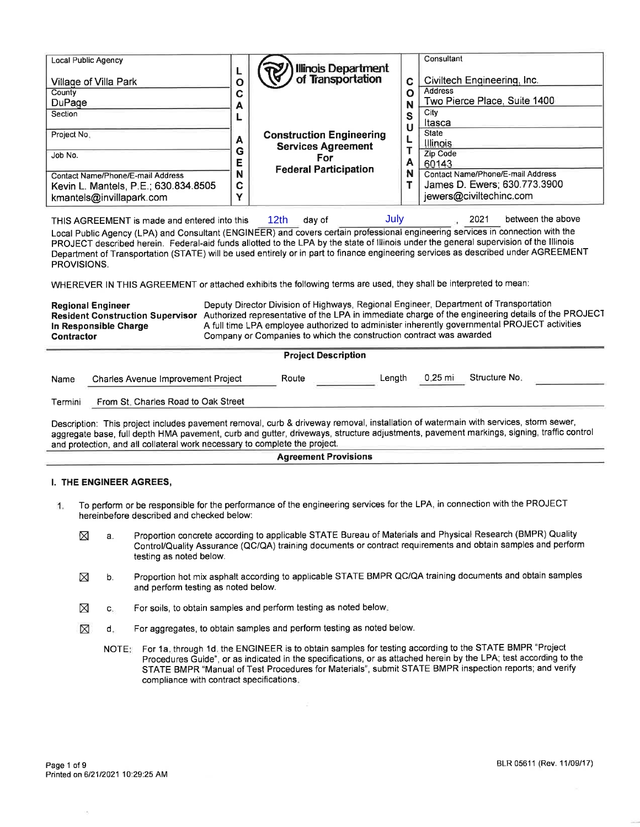| Local Public Agency<br>Village of Villa Park<br>County<br>DuPage<br>Section                                      | Ο<br>C<br>А                     | Illinois Department<br>of Transportation                     | C<br>Ω<br>S | Consultant<br>Civiltech Engineering, Inc.<br>Address<br>Two Pierce Place, Suite 1400<br>City                      |
|------------------------------------------------------------------------------------------------------------------|---------------------------------|--------------------------------------------------------------|-------------|-------------------------------------------------------------------------------------------------------------------|
| Project No.                                                                                                      | A<br>G                          | <b>Construction Engineering</b><br><b>Services Agreement</b> | U           | Itasca<br><b>State</b><br>Illinois                                                                                |
| Job No.<br>Contact Name/Phone/E-mail Address<br>Kevin L. Mantels, P.E.; 630.834.8505<br>kmantels@invillapark.com | E.<br>N<br>C.<br>$\blacksquare$ | For<br><b>Federal Participation</b>                          | A<br>N      | Zip Code<br>60143<br>Contact Name/Phone/E-mail Address<br>James D. Ewers; 630.773.3900<br>jewers@civiltechinc.com |

THIS AGREEMENT is made and entered into this day of 2021 between the above Local Public Agency (LPA) and Consultant (ENGINEER) and covers certain professional engineering services in connection with the day of

PROJECT described herein. Federal-aid funds allotted to the LPA by the state of lllinois under the general supervision of the lllinois Department of Transportation (STATE) will be used entirely or in part to finance engineering services as described under AGREEMENT PROVISIONS.

WHEREVER IN THIS AGREEMENT or attached exhibits the following terms are used, they shall be interpreted to mean:

Regional Engineer **Deputy Director Division of Highways**, Regional Engineer, Department of Transportation Resident Construction Supervisor Authorized representative of the LPA in immediate charge of the engineering details of the PROJECT<br>In Responsible Charge <br>A full time LPA employee authorized to administer inherently govern In Responsible Charge Afull time LPA employee authorized to administer inherently governmental PROJECT activities<br>Contractor Company or Companies to which the construction contract was awarded Company or Companies to which the construction contract was awarded

|         |                                           | <b>Project Description</b> |        |         |               |  |
|---------|-------------------------------------------|----------------------------|--------|---------|---------------|--|
| Name    | <b>Charles Avenue Improvement Project</b> | Route                      | Lenath | 0.25 mi | Structure No. |  |
| Termini | From St. Charles Road to Oak Street       |                            |        |         |               |  |

Description: This project includes pavement removal, curb & driveway removal, installation of watermain with services, storm sewer, aggregate base, full depth HMA pavement, curb and gutter, driveways, structure adjustments, pavement markings, signing, traffic control and protection, and all collateral work necessary to complete the project.

#### Agreement Provisions

### I. THE ENGINEER AGREES,

- To perform or be responsible for the performance of the engineering services for the LPA, in connection with the PROJECT  $\mathbf{1}$ hereinbefore described and checked below:
	- X a. Proportion concrete according to applicable STATE Bureau of Materials and Physical Research (BMPR) Quality Control/Quality Assurance (OC/OA) training documents or contract requirements and obtain samples and perform testing as noted below.
	- X b. Proportion hot mix asphalt according to applicable STATE BMPR QC/QA training documents and obtain samples and perform testing as noted below.
	- $\boxtimes$  c. For soils, to obtain samples and perform testing as noted below.
	- d. For aggregates, to obtain samples and perform testing as noted below. ⊠
		- For 1a. through 1d. the ENGINEER is to obtain samples for testing according to the STATE BMPR "Project Procedures Guide", or as indicated in the specifications, or as attached herein by the LPA; test according to the STATE BMPR "Manual of Test Procedures for Materials", submit STATE BMPR inspection reports; and verify compliance with contract specifications. NOTE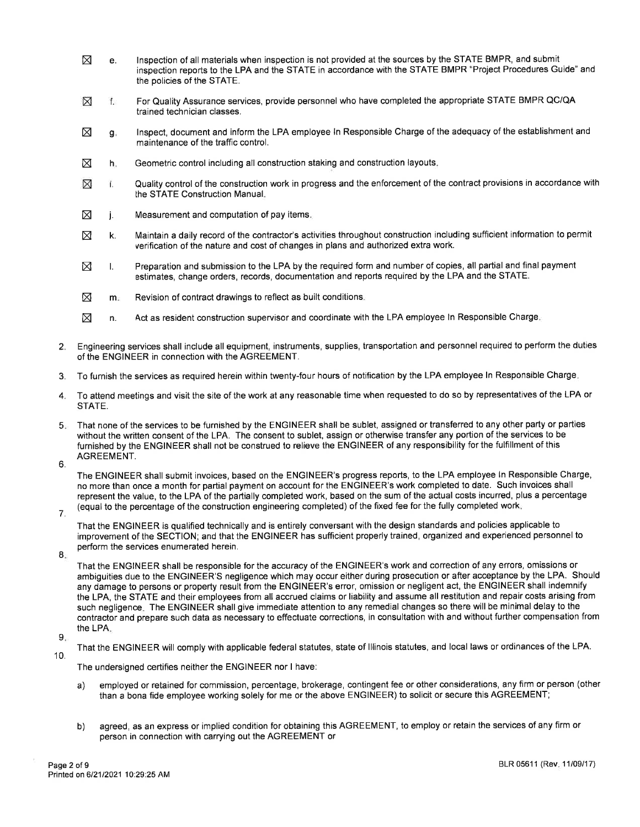- $\boxtimes$  e. lnspection of all materials when inspection is not provided at the sources by the STATE BMPR, and submit inspection reports to the LPA and the STATE in accordance with the STATE BMPR "Project Procedures Guide" and the policies of the STATE.
- For Quality Assurance services, provide personnel who have completed the appropriate STATE BMPR QC/QA ⊠ f. trained technician classes.
- lnspect, document and inform the LPA employee ln Responsible Charge of the adequacy of the establishment and maintenance of the traffic control.  $\boxtimes$ s.
- Geometric control including all construction staking and construction layouts.  $\boxtimes$ h.
- Quality control of the construction work in progress and the enforcement of the contract provisions in accordance with ⊠ i. the STATE Construction Manual.
- $\boxtimes$ Measurement and computation of pay items. j.
- $\boxtimes$  k. Maintain a daily record of the contractor's activities throughout construction including sufficient information to permit verification of the nature and cost of changes in plans and authorized extra work.
- $\boxtimes$  i. Preparation and submission to the LPA by the required form and number of copies, all partial and final payment estimates, change orders, records, documentation and reports required by the LPA and the STATE.
- $\boxtimes$  m. Revision of contract drawings to reflect as built conditions.
- $\boxtimes$  n. Act as resident construction supervisor and coordinate with the LPA employee ln Responsible Charge.
- 2. Engineering services shall include all equipment, instruments, supplies, transportation and personnel required to perform the duties of the ENGINEER in connection with the AGREEMENT.
- 3. To furnish the services as required herein within twenty-four hours of notification by the LPA employee ln Responsible Charge.
- 4. To attend meetings and visit the site of the work at any reasonable time when requested to do so by representatives of the LPA or STATE.
- 5. That none of the services to be furnished by the ENGINEER shall be sublet, assigned or transferred to any other party or parties without the written consent of the LPA. The consent to sublet, assign or otherwise transfer any portion of the services to be furnished by the ENGINEER shall not be construed to relieve the ENGINEER of any responsibility for the fulfillment of this AGREEMENT.
- 6.

The ENGINEER shall submit invoices, based on the ENGINEER's progress reports, to the LPA employee ln Responsible Charge, no more than once a month for partial payment on account for the ENGINEER's work completed to date. Such invoices shall represent the value, to the LPA of the partially completed work, based on the sum of the actual costs incurred, plus a percentage (equal to the percentage of the construction engineering completed) of the fixed fee for the fully completed work.

7.

That the ENGINEER is qualified technically and is entirely conversant with the design standards and policies applicable to improvement of the SECTION; and that the ENGINEER has sufficient properly trained, organized and experienced personnel to perform the services enumerated herein.

8.

That the ENGINEER shall be responsible for the accuracy of the ENGINEER's work and correction of any errors, omissions or ambiguities due to the ENGINEER'S negligence which may occur either during prosecution or after acceptance by the LPA. Should any damage to persons or property result from the ENGINEER's error, omission or negligent act, the ENGINEER shall indemnify the LPA, the STATE and their employees from all accrued claims or liability and assume all restitution and repair costs arising from such negligence. The ENGINEER shall give immediate attention to any remedial changes so there will be minimal delay to the contractor and prepare such data as necessary to effectuate corrections, in consultation with and without further compensation from the LPA.

#### $9.$

That the ENGINEER will comply with applicable federal statutes, state of lllinois statutes, and local laws or ordinances of the LPA. 10.

The undersigned certifies neither the ENGINEER nor I have:

- a) employed or retained for commission, percentage, brokerage, contingent fee or other considerations, any firm or person (other than a bona fide employee working solely for me or the above ENGINEER) to solicit or secure this AGREEMENT;
- b) agreed, as an express or implied condition for obtaining this AGREEMENT, to employ or retain the services of any firm or person in connection with carrying out the AGREEMENT or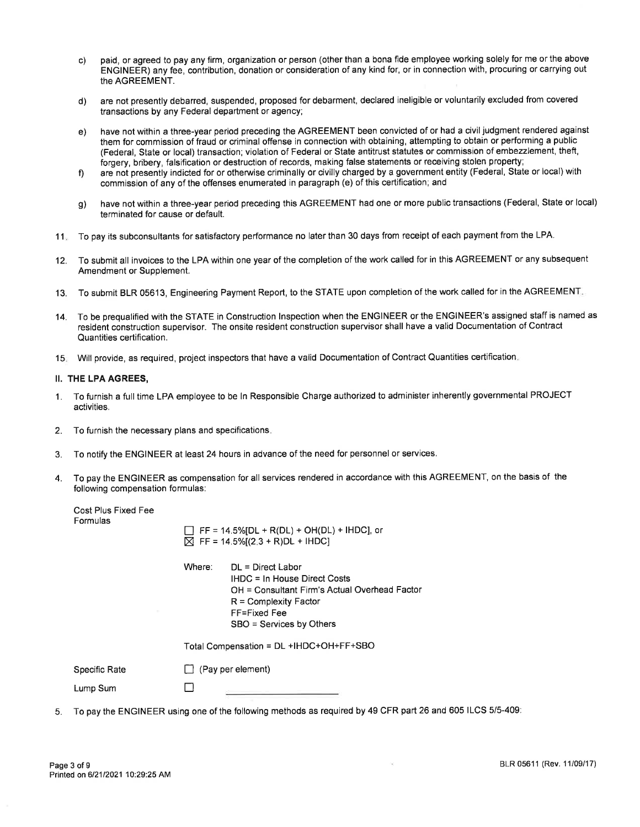- c) paid, or agreed to pay any firm, organization or person (other than a bona fide employee working solely for me or the above ENGINEER) any fee, contribution, donation or consideration of any kind for, or in connection with, procuring or carrying out the AGREEMENT.
- d) are not presently debarred, suspended, proposed for debarment, declared ineligible or voluntarily excluded from covered transactions by any Federal department or agency;
- e) have not within a three-year period preceding the AGREEMENT been convicted of or had a civil judgment rendered against them for commission of fraud or criminal offense in connection with obtaining, attempting to obtain or performing a public (Federal, State or local) transaction; violation of Federal or State antitrust statutes or commission of embezzlement, theft, forgery, bribery, falsification or destruction of records, making false statements or receiving stolen property;
- are not presently indicted for or otherwise criminally or civilly charged by a government entity (Federal, State or local) with commission of any of the offenses enumerated in paragraph (e) of this certification; and  $f$
- have not within a three-year period preceding this AGREEMENT had one or more public transactions (Federal, State or local) terminated for cause or default. g)
- 11. To pay its subconsultants for satisfactory performance no later than 30 days from receipt of each payment from the LPA.
- 12. To submit all invoices to the LPA within one year of the completion of the work called for in this AGREEMENT or any subsequent Amendment or Supplement.
- 13. To submit BLR 05613, Engineering Payment Report, to the STATE upon completion of the work called for in the AGREEMENT
- 14. To be prequalified with the STATE in Construction lnspection when the ENGINEER or the ENGINEER's assigned staff is named as resident construction supervisor. The onsite resident construction supervisor shall have a valid Documentation of Contract Quantities certification.
- '15. Will provide, as required, project inspectors that have a valid Documentation of Contract Quantities certification

## II. THE LPA AGREES,

Cost Plus Fixed Fee

- 1. To furnish a full time LPA employee to be ln Responsible Charge authorized to administer inherently governmental PROJECT activities.
- 2. To furnish the necessary plans and specifications
- 3. To notify the ENGINEER at least 24 hours in advance of the need for personnel or services.
- 4. To pay the ENGINEER as compensation for all services rendered in accordance with this AGREEMENT, on the basis of the following compensation formulas:

| <u>ouarina incure</u><br>Formulas | $\Box$ FF = 14.5%[DL + R(DL) + OH(DL) + IHDC], or<br>$\boxtimes$ FF = 14.5%[(2.3 + R)DL + IHDC]                                                                                       |  |  |  |  |
|-----------------------------------|---------------------------------------------------------------------------------------------------------------------------------------------------------------------------------------|--|--|--|--|
|                                   | Where:<br>$DL = Direct Labor$<br>IHDC = In House Direct Costs<br>OH = Consultant Firm's Actual Overhead Factor<br>$R =$ Complexity Factor<br>FF=Fixed Fee<br>SBO = Services by Others |  |  |  |  |
|                                   | Total Compensation = DL +IHDC+OH+FF+SBO                                                                                                                                               |  |  |  |  |
| Specific Rate                     | $\Box$ (Pay per element)                                                                                                                                                              |  |  |  |  |
| Lump Sum                          |                                                                                                                                                                                       |  |  |  |  |
|                                   |                                                                                                                                                                                       |  |  |  |  |

5. To pay the ENGINEER using one of the following methods as required by 49 CFR part 26 and 605 ILCS 5/5-409:

 $\alpha_{\rm c}$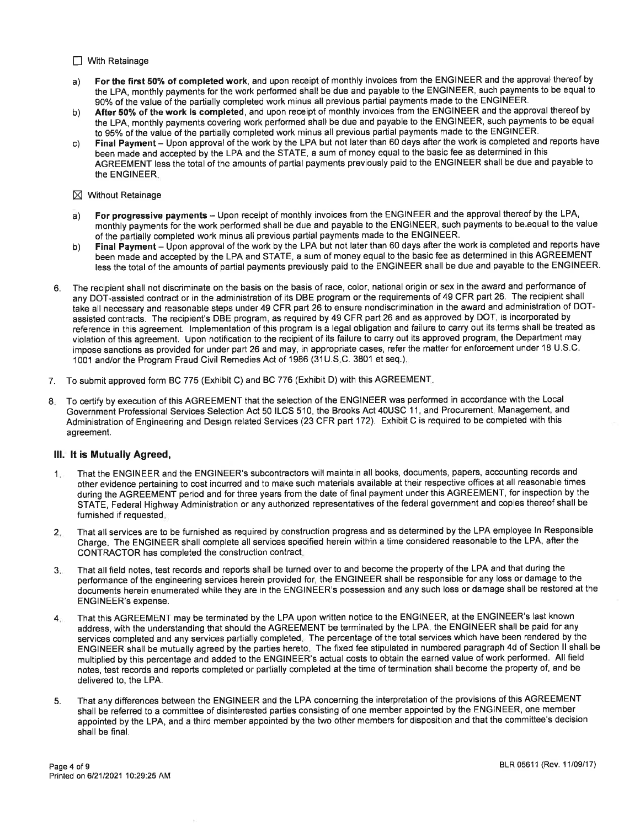#### $\Box$  With Retainage

- a) For the first 50% of completed work, and upon receipt of monthly invoices from the ENGINEER and the approval thereof by the LPA, monthly payments for the work performed shall be due and payable to the ENGINEER, such payments to be equal to 90% of the value of the partially completed work minus all previous partial payments made to the ENGINEER.
- b) After 50% of the work is completed, and upon receipt of monthly invoices from the ENGINEER and the approval thereof by the LPA, monthly payments covering work performed shall be due and payable to the ENGINEER, such payments to be equal to 95% of the value of the partially completed work minus all previous partial payments made to the ENGINEER.
- c) Final Payment Upon approval of the work by the LPA but not later than 60 days after the work is completed and reports have been made and accepted by the LPA and the STATE, a sum of money equal to the basic fee as determined in this AGREEMENT less the total of the amounts of partial payments previously paid to the ENGINEER shall be due and payable to the ENGINEER.
- $\times$  Without Retainage
- a) For progressive payments Upon receipt of monthly invoices from the ENGINEER and the approval thereof by the LPA, monthly payments for the work performed shall be due and payable to the ENGINEER, such payments to be equal to the value of the partially completed work minus all previous partial payments made to the ENGINEER.
- b) Final Payment Upon approval of the work by the LPA but not later than 60 days after the work is completed and reports have been made and accepted by the LPA and STATE, a sum of money equal to the basic fee as determined in this AGREEMENT less the total of the amounts of partial payments previously paid to the ENGINEER shall be due and payable to the ENGINEER.
- 6. The recipient shall not discriminate on the basis on the basis of race, color, nationat origin or sex in the award and performance of any DOT-assisted contract or in the administration of its DBE program or the requirements of 49 CFR part 26. The recipient shall take all necessary and reasonable steps under 49 CFR part 26 to ensure nondiscrimination in the award and administration of DOTassisted contracts. The recipient's DBE program, as required by 49 CFR part 26 and as approved by DOT, is incorporated by reference in this agreement. lmplementation of this program is a legal obligation and failure to carry out its terms shall be treated as violation of this agreement. Upon notification to the recipient of its failure to carry out its approved program, the Department may impose sanctions as provided for under part 26 and may, in appropriate cases, refer the matter for enforcement under 18 U.S.C. 1001 and/or the Program Fraud Civil Remedies Act of 1986 (31 U.S.C. 3801 et seq.).
- 7. To submit approved form BC 775 (Exhibit C) and BC 776 (Exhibit D) with this AGREEMENT.
- 8. To certify by execution of this AGREEMENT that the selection of the ENGINEER was performed in accordance with the Local Government Professional Services Selection Act 50 ILCS 510, the Brooks Act 40USC 11, and Procurement, Management, and Administration of Engineering and Design related Services (23 CFR part 172). Exhibit C is required to be completed with this agreement.

### lll. lt is Mutually Agreed,

- 1. That the ENGINEER and the ENGINEER's subcontractors will maintain all books, documents, papers, accounting records and other evidence pertaining to cost incurred and to make such materials available at their respective offices at all reasonable times during the AGREEMENT period and for three years from the date of final payment under this AGREEMENT, for inspection by the STATE, Federal Highway Administration or any authorized representatives of the federal government and copies thereof shall be furnished if requested.
- 2. That all services are to be furnished as required by construction progress and as determined by the LPA employee ln Responsible Charge. The ENGINEER shall complete all services specified herein within a time considered reasonable to the LPA, after the CONTRACTOR has completed the construction contract.
- 3. That all field notes, test records and reports shall be turned overto and become the property of the LPA and that during the performance of the engineering services herein provided for, the ENGINEER shall be responsible for any loss or damage to the documents herein enumerated while they are in the ENGINEER's possession and any such loss or damage shall be restored at the ENGINEER's expense.
- 4. That this AGREEMENT may be terminated by the LPA upon written notice to the ENGINEER, at the ENGINEER's last known address, with the understanding that should the AGREEMENT be terminated by the LPA, the ENGINEER shall be paid for any services completed and any services partially completed. The percentage of the total services which have been rendered by the ENGINEER shall be mutually agreed by the parties hereto. The fixed fee stipulated in numbered paragraph 4d of Section ll shall be multiplied by this percentage and added to the ENGINEER's actual costs to obtain the earned value of work performed. All field notes, test iecords and reports completed or partially completed at the time of termination shall become the property of, and be delivered to, the LPA.
- 5. That any differences between the ENGINEER and the LPA concerning the interpretation of the provisions of this AGREEMENT shall be referred to a committee of disinterested parties consisting of one member appointed by the ENGINEER, one member appointed by the LPA, and a third member appointed by the two other members for disposition and that the committee's decision shall be final.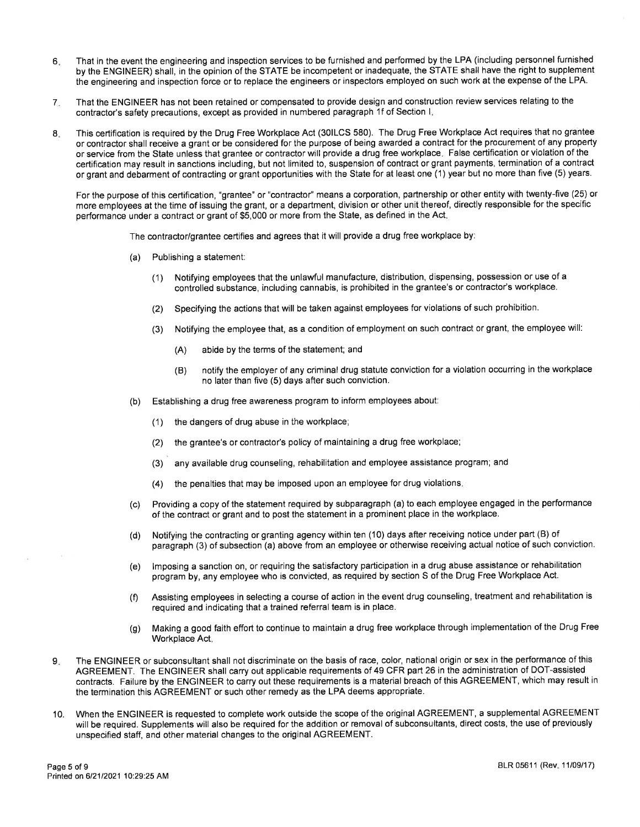- 6. That in the event the engineering and inspection services to be furnished and performed by the LPA (including personnel furnished by the ENGINEER) shall, in the opinion of the STATE be incompetent or inadequate, the STATE shall have the right to supplement the engineering and inspection force or to replace the engineers or inspectors employed on such work at the expense of the LPA.
- 7 That the ENGINEER has not been retained or compensated to provide design and construction review services relating to the contractor's safety precautions, except as provided in numbered paragraph 1f of Section l.
- 8. This certification is required by the Drug Free Workplace Act (30lLCS 580). The Drug Free Workplace Act requires that no grantee or contractor shall receive a grant or be considered for the purpose of being awarded a contract for the procurement of any property or service from the State unless that grantee or contractor will provide a drug free workplace. False certification or violation of the certification may result in sanctions including, but not limited to, suspension of contract or grant payments, termination of a contract or grant and debarment of contracting or grant opportunities with the State for at least one (1) year but no more than five (5) years.

For the purpose of this certification, "grantee" or "contractor" means a corporation, partnership or other entity with twenty-five (25) or more employees at the time of issuing the grant, or a department, division or other unit thereof, directly responsible for the specific performance under a contract or grant of \$5,000 or more from the State, as defined in the Act.

The contractor/grantee certifies and agrees that it will provide a drug free workplace by:

- (a) Publishing a statement:
	- (1) Notifying employees that the unlawful manufacture, distribution, dispensing, possession or use of <sup>a</sup> controlled substance, including cannabis, is prohibited in the grantee's or contractor's workplace.
	- (2) Specifying the actions that will be taken against employees for violations of such prohibition.
	- (3) Notifying the employee that, as a condition of employment on such contract or grant, the employee will:
		- (A) abide by the terms of the statement; and
		- (B) notify the employer of any criminal drug statute conviction for a violation occurring in the workplace no later than five (5) days after such conviction.
- (b) Establishing a drug free awareness program to inform employees about:
	- (1) the dangers of drug abuse in the workplace;
	- (2) the grantee's or contractor's policy of maintaining a drug free workplace;
	- (3) any available drug counseling, rehabilitation and employee assistance program; and
	- (4) the penalties that may be imposed upon an employee for drug violations.
- (c) Providing a copy of the statement required by subparagraph (a) to each employee engaged in the performance of the contract or grant and to post the statement in a prominent place in the workplace.
- (d) Notifying the contracting orgranting agency within ten (10) days after receiving notice under part (B) of paragraph (3) of subsection (a) above from an employee or otherwise receiving actual notice of such conviction.
- (e) lmposing a sanction on, or requiring the satisfactory participation in a drug abuse assistance or rehabilitation program by, any employee who is convicted, as required by section S of the Drug Free Workplace Act.
- (f) Assisting employees in selecting a course of action in the event drug counseling, treatment and rehabilitation is required and indicating that a trained referral team is in place.
- (g) Making a good faith effort to continue to maintain a drug free workplace through implementation of the Drug Free Workplace Act.
- The ENGINEER or subconsultant shall not discriminate on the basis of race, color, national origin or sex in the performance of this AGREEMENT. The ENGINEER shall carry out applicable requirements of 49 CFR part 26 in the administration of DOT-assisted contracts. Failure by the ENGINEER to carry out these requirements is a material breach of this AGREEMENT, which may result in the termination this AGREEMENT or such other remedy as the LPA deems appropriate.  $9.$
- 10. When the ENGINEER is requested to complete work outside the scope of the original AGREEMENT, a supplemental AGREEMENT will be required. Supplements will also be required for the addition or removal of subconsultants, direct costs, the use of previously unspecified staff, and other material changes to the original AGREEMENT.